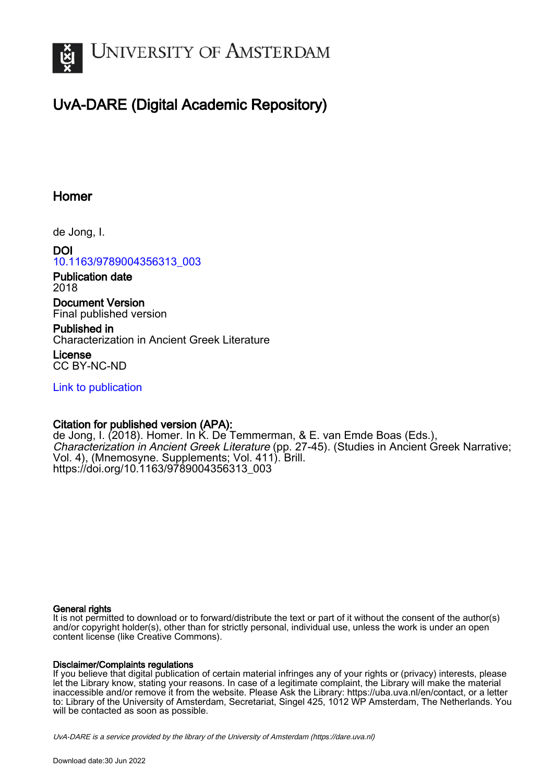

# UvA-DARE (Digital Academic Repository)

# Homer

de Jong, I.

DOI [10.1163/9789004356313\\_003](https://doi.org/10.1163/9789004356313_003)

Publication date 2018

Document Version Final published version

Published in Characterization in Ancient Greek Literature

License CC BY-NC-ND

[Link to publication](https://dare.uva.nl/personal/pure/en/publications/homer(ecc3317a-0737-4ac3-8914-315954a0b9a4).html)

# Citation for published version (APA):

de Jong, I. (2018). Homer. In K. De Temmerman, & E. van Emde Boas (Eds.), Characterization in Ancient Greek Literature (pp. 27-45). (Studies in Ancient Greek Narrative; Vol. 4), (Mnemosyne. Supplements; Vol. 411). Brill. [https://doi.org/10.1163/9789004356313\\_003](https://doi.org/10.1163/9789004356313_003)

## General rights

It is not permitted to download or to forward/distribute the text or part of it without the consent of the author(s) and/or copyright holder(s), other than for strictly personal, individual use, unless the work is under an open content license (like Creative Commons).

## Disclaimer/Complaints regulations

If you believe that digital publication of certain material infringes any of your rights or (privacy) interests, please let the Library know, stating your reasons. In case of a legitimate complaint, the Library will make the material inaccessible and/or remove it from the website. Please Ask the Library: https://uba.uva.nl/en/contact, or a letter to: Library of the University of Amsterdam, Secretariat, Singel 425, 1012 WP Amsterdam, The Netherlands. You will be contacted as soon as possible.

UvA-DARE is a service provided by the library of the University of Amsterdam (http*s*://dare.uva.nl)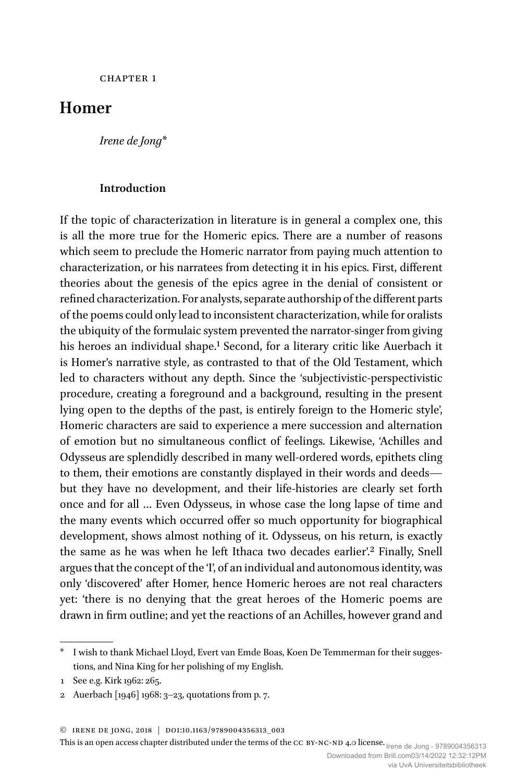#### CHAPTER 1

# **Homer**

*Irene de Jong*\*

### **Introduction**

If the topic of characterization in literature is in general a complex one, this is all the more true for the Homeric epics. There are a number of reasons which seem to preclude the Homeric narrator from paying much attention to characterization, or his narratees from detecting it in his epics. First, different theories about the genesis of the epics agree in the denial of consistent or refined characterization. For analysts, separate authorship of the different parts of the poems could only lead to inconsistent characterization, while for oralists the ubiquity of the formulaic system prevented the narrator-singer from giving his heroes an individual shape.<sup>1</sup> Second, for a literary critic like Auerbach it is Homer's narrative style, as contrasted to that of the Old Testament, which led to characters without any depth. Since the 'subjectivistic-perspectivistic procedure, creating a foreground and a background, resulting in the present lying open to the depths of the past, is entirely foreign to the Homeric style', Homeric characters are said to experience a mere succession and alternation of emotion but no simultaneous conflict of feelings. Likewise, 'Achilles and Odysseus are splendidly described in many well-ordered words, epithets cling to them, their emotions are constantly displayed in their words and deeds but they have no development, and their life-histories are clearly set forth once and for all … Even Odysseus, in whose case the long lapse of time and the many events which occurred offer so much opportunity for biographical development, shows almost nothing of it. Odysseus, on his return, is exactly the same as he was when he left Ithaca two decades earlier'.2 Finally, Snell argues that the concept of the 'I', of an individual and autonomous identity, was only 'discovered' after Homer, hence Homeric heroes are not real characters yet: 'there is no denying that the great heroes of the Homeric poems are drawn in firm outline; and yet the reactions of an Achilles, however grand and

© Irene de Jong, 2018 | doi:10.1163/9789004356313\_003

This is an open access chapter distributed under the terms of the CC BY-NC-ND 4.0 license. <sub>Irene de Jong - 9789004356313</sub>

<sup>\*</sup> I wish to thank Michael Lloyd, Evert van Emde Boas, Koen De Temmerman for their suggestions, and Nina King for her polishing of my English.

<sup>1</sup> See e.g. Kirk 1962: 265.

<sup>2</sup> Auerbach  $[1946]$  1968: 3–23, quotations from p. 7.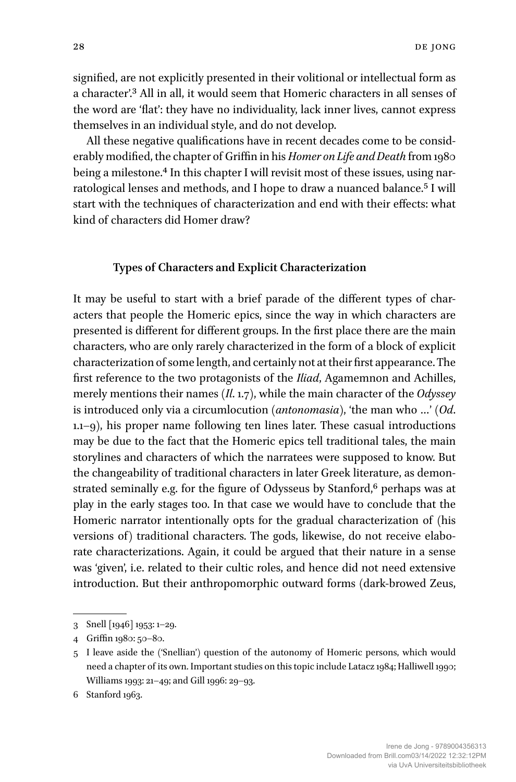signified, are not explicitly presented in their volitional or intellectual form as a character'.3 All in all, it would seem that Homeric characters in all senses of the word are 'flat': they have no individuality, lack inner lives, cannot express themselves in an individual style, and do not develop.

All these negative qualifications have in recent decades come to be considerably modified, the chapter of Griffin in his *Homer on Life and Death* from 1980 being a milestone.<sup>4</sup> In this chapter I will revisit most of these issues, using narratological lenses and methods, and I hope to draw a nuanced balance.5 I will start with the techniques of characterization and end with their effects: what kind of characters did Homer draw?

#### **Types of Characters and Explicit Characterization**

It may be useful to start with a brief parade of the different types of characters that people the Homeric epics, since the way in which characters are presented is different for different groups. In the first place there are the main characters, who are only rarely characterized in the form of a block of explicit characterization of some length, and certainly not at their first appearance. The first reference to the two protagonists of the *Iliad*, Agamemnon and Achilles, merely mentions their names (*Il*. 1.7), while the main character of the *Odyssey* is introduced only via a circumlocution (*antonomasia*), 'the man who …' (*Od*. 1.1–9), his proper name following ten lines later. These casual introductions may be due to the fact that the Homeric epics tell traditional tales, the main storylines and characters of which the narratees were supposed to know. But the changeability of traditional characters in later Greek literature, as demonstrated seminally e.g. for the figure of Odysseus by Stanford,<sup>6</sup> perhaps was at play in the early stages too. In that case we would have to conclude that the Homeric narrator intentionally opts for the gradual characterization of (his versions of) traditional characters. The gods, likewise, do not receive elaborate characterizations. Again, it could be argued that their nature in a sense was 'given', i.e. related to their cultic roles, and hence did not need extensive introduction. But their anthropomorphic outward forms (dark-browed Zeus,

<sup>3</sup> Snell [1946] 1953: 1–29.

<sup>4</sup> Griffin 1980: 50–80.

<sup>5</sup> I leave aside the ('Snellian') question of the autonomy of Homeric persons, which would need a chapter of its own. Important studies on this topic include Latacz 1984; Halliwell 1990; Williams 1993: 21–49; and Gill 1996: 29–93.

<sup>6</sup> Stanford 1963.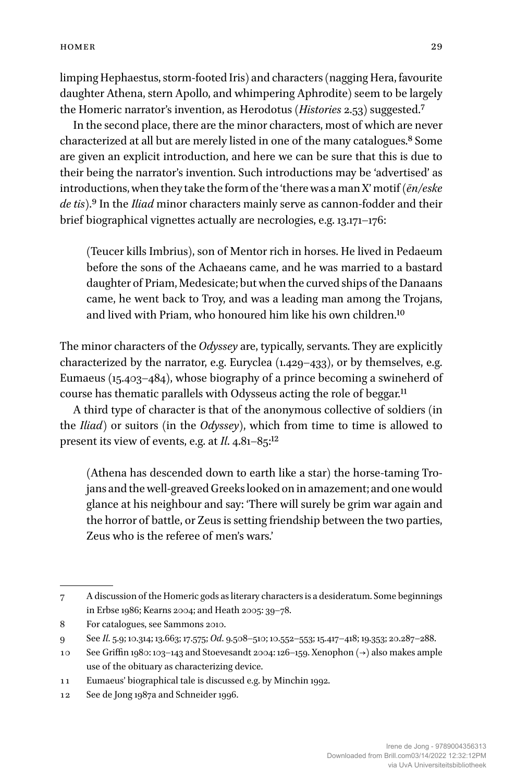limping Hephaestus, storm-footed Iris) and characters (nagging Hera, favourite daughter Athena, stern Apollo, and whimpering Aphrodite) seem to be largely the Homeric narrator's invention, as Herodotus (*Histories* 2.53) suggested.7

In the second place, there are the minor characters, most of which are never characterized at all but are merely listed in one of the many catalogues.8 Some are given an explicit introduction, and here we can be sure that this is due to their being the narrator's invention. Such introductions may be 'advertised' as introductions,when they take theform of the 'therewas a man X' motif (*ēn/eske de tis*).9 In the *Iliad* minor characters mainly serve as cannon-fodder and their brief biographical vignettes actually are necrologies, e.g. 13.171–176:

(Teucer kills Imbrius), son of Mentor rich in horses. He lived in Pedaeum before the sons of the Achaeans came, and he was married to a bastard daughter of Priam, Medesicate; but when the curved ships of the Danaans came, he went back to Troy, and was a leading man among the Trojans, and lived with Priam, who honoured him like his own children.10

The minor characters of the *Odyssey* are, typically, servants. They are explicitly characterized by the narrator, e.g. Euryclea (1.429–433), or by themselves, e.g. Eumaeus (15.403–484), whose biography of a prince becoming a swineherd of course has thematic parallels with Odysseus acting the role of beggar.11

A third type of character is that of the anonymous collective of soldiers (in the *Iliad*) or suitors (in the *Odyssey*), which from time to time is allowed to present its view of events, e.g. at *Il*. 4.81–85:12

(Athena has descended down to earth like a star) the horse-taming Trojans and the well-greaved Greeks looked on in amazement; and one would glance at his neighbour and say: 'There will surely be grim war again and the horror of battle, or Zeus is setting friendship between the two parties, Zeus who is the referee of men's wars.'

<sup>7</sup> A discussion of the Homeric gods as literary characters is a desideratum. Some beginnings in Erbse 1986; Kearns 2004; and Heath 2005: 39–78.

<sup>8</sup> For catalogues, see Sammons 2010.

<sup>9</sup> See *Il*. 5.9; 10.314; 13.663; 17.575; *Od*. 9.508–510; 10.552–553; 15.417–418; 19.353; 20.287–288.

<sup>10</sup> See Griffin 1980: 103–143 and Stoevesandt 2004: 126–159. Xenophon (→) also makes ample use of the obituary as characterizing device.

<sup>11</sup> Eumaeus' biographical tale is discussed e.g. by Minchin 1992.

<sup>12</sup> See de Jong 1987a and Schneider 1996.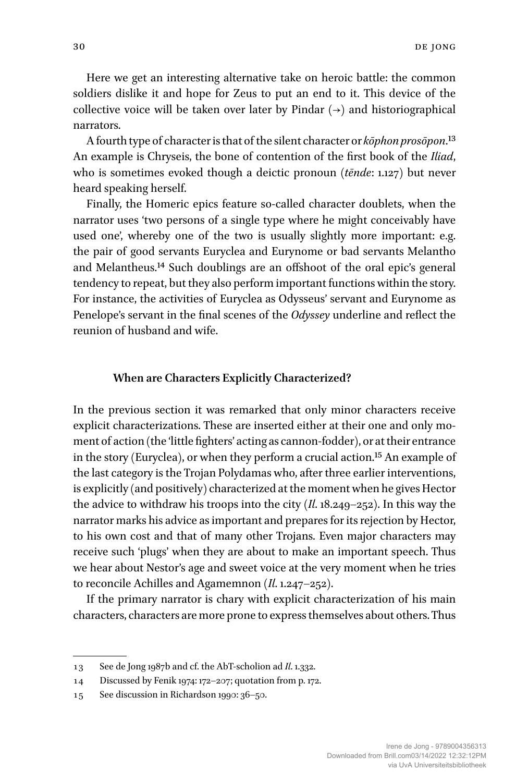Here we get an interesting alternative take on heroic battle: the common soldiers dislike it and hope for Zeus to put an end to it. This device of the collective voice will be taken over later by Pindar  $(\rightarrow)$  and historiographical narrators.

A fourth type of character is that of the silent character or *kōphon prosōpon*.13 An example is Chryseis, the bone of contention of the first book of the *Iliad*, who is sometimes evoked though a deictic pronoun (*tēnde*: 1.127) but never heard speaking herself.

Finally, the Homeric epics feature so-called character doublets, when the narrator uses 'two persons of a single type where he might conceivably have used one', whereby one of the two is usually slightly more important: e.g. the pair of good servants Euryclea and Eurynome or bad servants Melantho and Melantheus.14 Such doublings are an offshoot of the oral epic's general tendency to repeat, but they also perform important functions within the story. For instance, the activities of Euryclea as Odysseus' servant and Eurynome as Penelope's servant in the final scenes of the *Odyssey* underline and reflect the reunion of husband and wife.

#### **When are Characters Explicitly Characterized?**

In the previous section it was remarked that only minor characters receive explicit characterizations. These are inserted either at their one and only moment of action (the 'little fighters' acting as cannon-fodder), or at their entrance in the story (Euryclea), or when they perform a crucial action.15 An example of the last category is the Trojan Polydamas who, after three earlier interventions, is explicitly (and positively) characterized at the moment when he gives Hector the advice to withdraw his troops into the city (*Il*. 18.249–252). In this way the narrator marks his advice as important and prepares for its rejection by Hector, to his own cost and that of many other Trojans. Even major characters may receive such 'plugs' when they are about to make an important speech. Thus we hear about Nestor's age and sweet voice at the very moment when he tries to reconcile Achilles and Agamemnon (*Il*. 1.247–252).

If the primary narrator is chary with explicit characterization of his main characters, characters are more prone to express themselves about others. Thus

<sup>13</sup> See de Jong 1987b and cf. the AbT-scholion ad *Il*. 1.332.

<sup>14</sup> Discussed by Fenik 1974: 172–207; quotation from p. 172.

<sup>15</sup> See discussion in Richardson 1990: 36–50.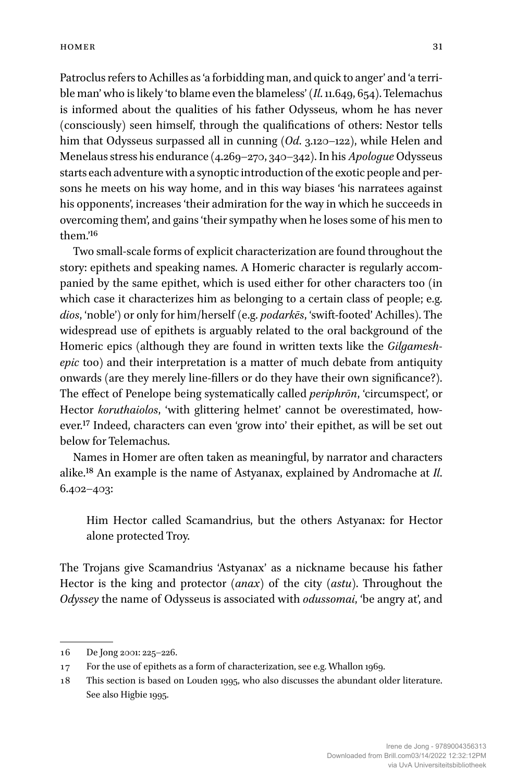Patroclus refers to Achilles as 'a forbidding man, and quick to anger' and 'a terrible man' who is likely 'to blame even the blameless' (*Il*. 11.649, 654). Telemachus is informed about the qualities of his father Odysseus, whom he has never (consciously) seen himself, through the qualifications of others: Nestor tells him that Odysseus surpassed all in cunning (*Od*. 3.120–122), while Helen and Menelaus stress his endurance (4.269–270, 340–342). In his *Apologue*Odysseus starts each adventure with a synoptic introduction of the exotic people and persons he meets on his way home, and in this way biases 'his narratees against his opponents', increases 'their admiration for the way in which he succeeds in overcoming them', and gains 'their sympathy when he loses some of his men to them<sup>'16</sup>

Two small-scale forms of explicit characterization are found throughout the story: epithets and speaking names. A Homeric character is regularly accompanied by the same epithet, which is used either for other characters too (in which case it characterizes him as belonging to a certain class of people; e.g. *dios*, 'noble') or only for him/herself (e.g. *podarkēs*, 'swift-footed' Achilles). The widespread use of epithets is arguably related to the oral background of the Homeric epics (although they are found in written texts like the *Gilgameshepic* too) and their interpretation is a matter of much debate from antiquity onwards (are they merely line-fillers or do they have their own significance?). The effect of Penelope being systematically called *periphrōn*, 'circumspect', or Hector *koruthaiolos*, 'with glittering helmet' cannot be overestimated, however.17 Indeed, characters can even 'grow into' their epithet, as will be set out below for Telemachus.

Names in Homer are often taken as meaningful, by narrator and characters alike.18 An example is the name of Astyanax, explained by Andromache at *Il*. 6.402–403:

Him Hector called Scamandrius, but the others Astyanax: for Hector alone protected Troy.

The Trojans give Scamandrius 'Astyanax' as a nickname because his father Hector is the king and protector (*anax*) of the city (*astu*). Throughout the *Odyssey* the name of Odysseus is associated with *odussomai*, 'be angry at', and

<sup>16</sup> De Jong 2001: 225–226.

<sup>17</sup> For the use of epithets as a form of characterization, see e.g. Whallon 1969.

<sup>18</sup> This section is based on Louden 1995, who also discusses the abundant older literature. See also Higbie 1995.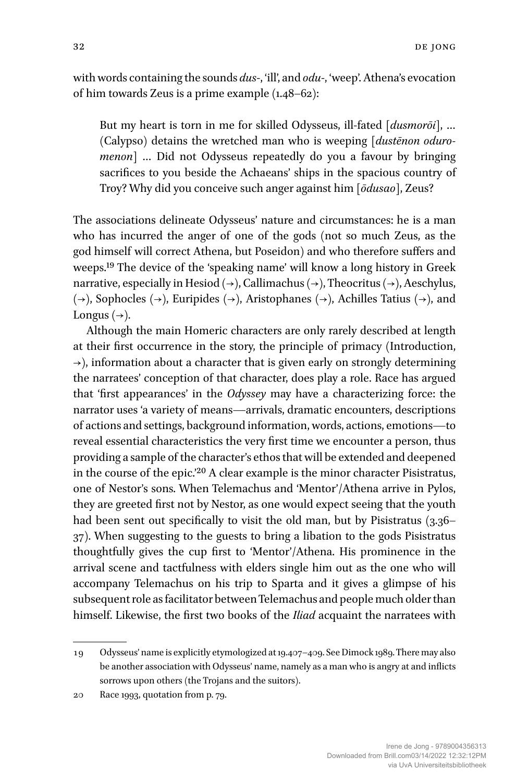with words containing the sounds *dus*-, 'ill', and *odu*-, 'weep'. Athena's evocation of him towards Zeus is a prime example (1.48–62):

But my heart is torn in me for skilled Odysseus, ill-fated [*dusmorōi*], … (Calypso) detains the wretched man who is weeping [*dustēnon oduromenon*] … Did not Odysseus repeatedly do you a favour by bringing sacrifices to you beside the Achaeans' ships in the spacious country of Troy? Why did you conceive such anger against him [*ōdusao*], Zeus?

The associations delineate Odysseus' nature and circumstances: he is a man who has incurred the anger of one of the gods (not so much Zeus, as the god himself will correct Athena, but Poseidon) and who therefore suffers and weeps.19 The device of the 'speaking name' will know a long history in Greek narrative, especially in Hesiod (→), Callimachus (→), Theocritus (→), Aeschylus,  $(\rightarrow)$ , Sophocles  $(\rightarrow)$ , Euripides  $(\rightarrow)$ , Aristophanes  $(\rightarrow)$ , Achilles Tatius  $(\rightarrow)$ , and Longus  $(\rightarrow)$ .

Although the main Homeric characters are only rarely described at length at their first occurrence in the story, the principle of primacy (Introduction,  $\rightarrow$ ), information about a character that is given early on strongly determining the narratees' conception of that character, does play a role. Race has argued that 'first appearances' in the *Odyssey* may have a characterizing force: the narrator uses 'a variety of means—arrivals, dramatic encounters, descriptions of actions and settings, background information, words, actions, emotions—to reveal essential characteristics the very first time we encounter a person, thus providing a sample of the character's ethos that will be extended and deepened in the course of the epic.'20 A clear example is the minor character Pisistratus, one of Nestor's sons. When Telemachus and 'Mentor'/Athena arrive in Pylos, they are greeted first not by Nestor, as one would expect seeing that the youth had been sent out specifically to visit the old man, but by Pisistratus (3.36– 37). When suggesting to the guests to bring a libation to the gods Pisistratus thoughtfully gives the cup first to 'Mentor'/Athena. His prominence in the arrival scene and tactfulness with elders single him out as the one who will accompany Telemachus on his trip to Sparta and it gives a glimpse of his subsequent role as facilitator between Telemachus and people much older than himself. Likewise, the first two books of the *Iliad* acquaint the narratees with

<sup>19</sup> Odysseus' name is explicitly etymologized at19.407–409. See Dimock1989. There may also be another association with Odysseus' name, namely as a man who is angry at and inflicts sorrows upon others (the Trojans and the suitors).

<sup>20</sup> Race 1993, quotation from p. 79.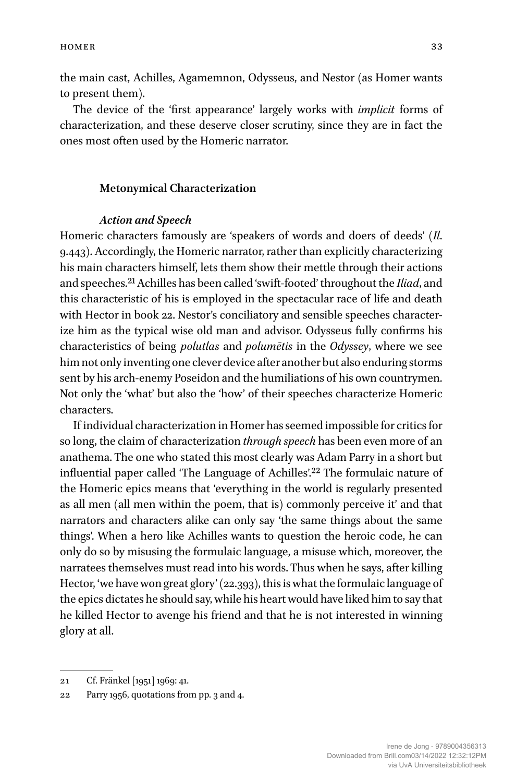the main cast, Achilles, Agamemnon, Odysseus, and Nestor (as Homer wants to present them).

The device of the 'first appearance' largely works with *implicit* forms of characterization, and these deserve closer scrutiny, since they are in fact the ones most often used by the Homeric narrator.

### **Metonymical Characterization**

### *Action and Speech*

Homeric characters famously are 'speakers of words and doers of deeds' (*Il*. 9.443). Accordingly, the Homeric narrator, rather than explicitly characterizing his main characters himself, lets them show their mettle through their actions and speeches.21 Achilles has been called 'swift-footed' throughout the *Iliad*, and this characteristic of his is employed in the spectacular race of life and death with Hector in book 22. Nestor's conciliatory and sensible speeches characterize him as the typical wise old man and advisor. Odysseus fully confirms his characteristics of being *polutlas* and *polumētis* in the *Odyssey*, where we see him not only inventing one clever device after another but also enduring storms sent by his arch-enemy Poseidon and the humiliations of his own countrymen. Not only the 'what' but also the 'how' of their speeches characterize Homeric characters.

If individual characterization in Homer has seemed impossible for critics for so long, the claim of characterization *through speech* has been even more of an anathema. The one who stated this most clearly was Adam Parry in a short but influential paper called 'The Language of Achilles'.22 The formulaic nature of the Homeric epics means that 'everything in the world is regularly presented as all men (all men within the poem, that is) commonly perceive it' and that narrators and characters alike can only say 'the same things about the same things'. When a hero like Achilles wants to question the heroic code, he can only do so by misusing the formulaic language, a misuse which, moreover, the narratees themselves must read into his words. Thus when he says, after killing Hector, 'we have won great glory' (22.393), this is what the formulaic language of the epics dictates he should say, while his heart would have liked him to say that he killed Hector to avenge his friend and that he is not interested in winning glory at all.

<sup>21</sup> Cf. Fränkel [1951] 1969: 41.

<sup>22</sup> Parry 1956, quotations from pp. 3 and 4.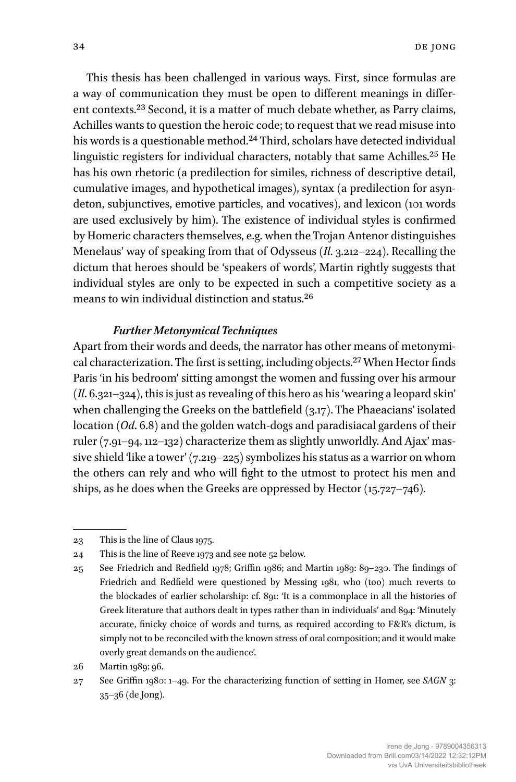This thesis has been challenged in various ways. First, since formulas are a way of communication they must be open to different meanings in different contexts.23 Second, it is a matter of much debate whether, as Parry claims, Achilles wants to question the heroic code; to request that we read misuse into his words is a questionable method.<sup>24</sup> Third, scholars have detected individual linguistic registers for individual characters, notably that same Achilles.25 He has his own rhetoric (a predilection for similes, richness of descriptive detail, cumulative images, and hypothetical images), syntax (a predilection for asyndeton, subjunctives, emotive particles, and vocatives), and lexicon (101 words are used exclusively by him). The existence of individual styles is confirmed by Homeric characters themselves, e.g. when the Trojan Antenor distinguishes Menelaus' way of speaking from that of Odysseus (*Il*. 3.212–224). Recalling the dictum that heroes should be 'speakers of words', Martin rightly suggests that individual styles are only to be expected in such a competitive society as a means to win individual distinction and status.26

#### *Further Metonymical Techniques*

Apart from their words and deeds, the narrator has other means of metonymical characterization. The first is setting, including objects.27 When Hector finds Paris 'in his bedroom' sitting amongst the women and fussing over his armour (*Il*. 6.321–324), this is just as revealing of this hero as his 'wearing a leopard skin' when challenging the Greeks on the battlefield (3.17). The Phaeacians' isolated location (*Od*. 6.8) and the golden watch-dogs and paradisiacal gardens of their ruler (7.91–94, 112–132) characterize them as slightly unworldly. And Ajax' massive shield 'like a tower' (7.219–225) symbolizes his status as a warrior on whom the others can rely and who will fight to the utmost to protect his men and ships, as he does when the Greeks are oppressed by Hector (15.727–746).

<sup>23</sup> This is the line of Claus 1975.

<sup>24</sup> This is the line of Reeve 1973 and see note 52 below.

<sup>25</sup> See Friedrich and Redfield 1978; Griffin 1986; and Martin 1989: 89–230. The findings of Friedrich and Redfield were questioned by Messing 1981, who (too) much reverts to the blockades of earlier scholarship: cf. 891: 'It is a commonplace in all the histories of Greek literature that authors dealt in types rather than in individuals' and 894: 'Minutely accurate, finicky choice of words and turns, as required according to F&R's dictum, is simply not to be reconciled with the known stress of oral composition; and it would make overly great demands on the audience'.

<sup>26</sup> Martin 1989: 96.

<sup>27</sup> See Griffin 1980: 1–49. For the characterizing function of setting in Homer, see *SAGN* 3: 35–36 (de Jong).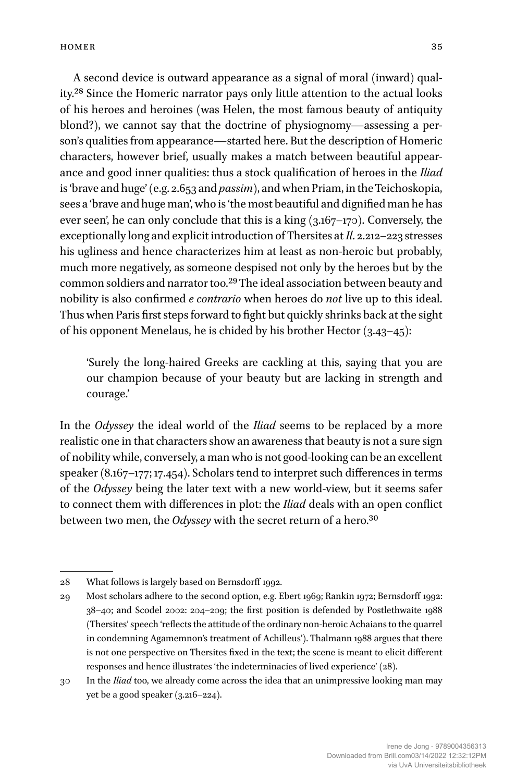HOMER 35

A second device is outward appearance as a signal of moral (inward) quality.28 Since the Homeric narrator pays only little attention to the actual looks of his heroes and heroines (was Helen, the most famous beauty of antiquity blond?), we cannot say that the doctrine of physiognomy—assessing a person's qualities from appearance—started here. But the description of Homeric characters, however brief, usually makes a match between beautiful appearance and good inner qualities: thus a stock qualification of heroes in the *Iliad* is 'brave and huge' (e.g. 2.653 and *passim*), and when Priam, in the Teichoskopia, sees a 'brave and huge man', who is 'the most beautiful and dignified man he has ever seen', he can only conclude that this is a king  $(3.167-170)$ . Conversely, the exceptionally long and explicit introduction of Thersites at *Il*. 2.212–223 stresses his ugliness and hence characterizes him at least as non-heroic but probably, much more negatively, as someone despised not only by the heroes but by the common soldiers and narrator too.29 The ideal association between beauty and nobility is also confirmed *e contrario* when heroes do *not* live up to this ideal. Thus when Paris first steps forward to fight but quickly shrinks back at the sight of his opponent Menelaus, he is chided by his brother Hector (3.43–45):

'Surely the long-haired Greeks are cackling at this, saying that you are our champion because of your beauty but are lacking in strength and courage.'

In the *Odyssey* the ideal world of the *Iliad* seems to be replaced by a more realistic one in that characters show an awareness that beauty is not a sure sign of nobility while, conversely, a man who is not good-looking can be an excellent speaker (8.167–177; 17.454). Scholars tend to interpret such differences in terms of the *Odyssey* being the later text with a new world-view, but it seems safer to connect them with differences in plot: the *Iliad* deals with an open conflict between two men, the *Odyssey* with the secret return of a hero.30

<sup>28</sup> What follows is largely based on Bernsdorff 1992.

<sup>29</sup> Most scholars adhere to the second option, e.g. Ebert 1969; Rankin 1972; Bernsdorff 1992: 38–40; and Scodel 2002: 204–209; the first position is defended by Postlethwaite 1988 (Thersites' speech 'reflects the attitude of the ordinary non-heroic Achaians to the quarrel in condemning Agamemnon's treatment of Achilleus'). Thalmann 1988 argues that there is not one perspective on Thersites fixed in the text; the scene is meant to elicit different responses and hence illustrates 'the indeterminacies of lived experience' (28).

<sup>30</sup> In the *Iliad* too, we already come across the idea that an unimpressive looking man may yet be a good speaker (3.216–224).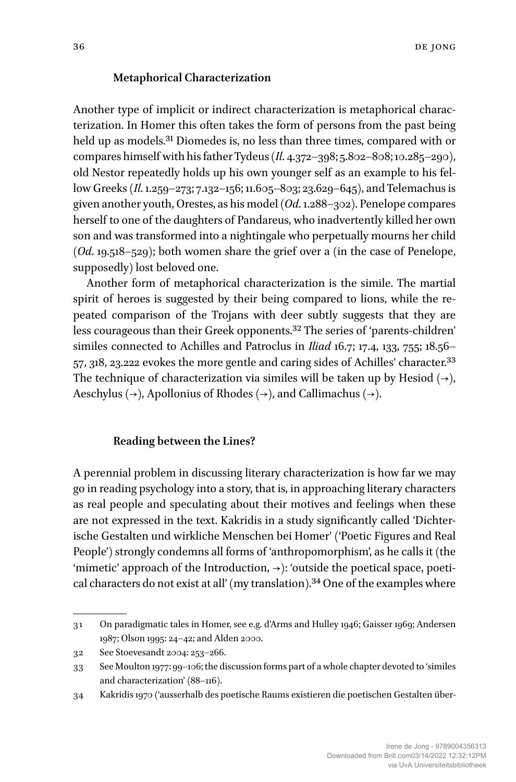#### **Metaphorical Characterization**

Another type of implicit or indirect characterization is metaphorical characterization. In Homer this often takes the form of persons from the past being held up as models.31 Diomedes is, no less than three times, compared with or compares himself with his father Tydeus (*Il*. 4.372–398; 5.802–808; 10.285–290), old Nestor repeatedly holds up his own younger self as an example to his fellow Greeks (*Il*. 1.259–273; 7.132–156; 11.605–803; 23.629–645), and Telemachus is given another youth, Orestes, as his model (*Od*. 1.288–302). Penelope compares herself to one of the daughters of Pandareus, who inadvertently killed her own son and was transformed into a nightingale who perpetually mourns her child (*Od*. 19.518–529); both women share the grief over a (in the case of Penelope, supposedly) lost beloved one.

Another form of metaphorical characterization is the simile. The martial spirit of heroes is suggested by their being compared to lions, while the repeated comparison of the Trojans with deer subtly suggests that they are less courageous than their Greek opponents.32 The series of 'parents-children' similes connected to Achilles and Patroclus in *Iliad* 16.7; 17.4, 133, 755; 18.56– 57, 318, 23.222 evokes the more gentle and caring sides of Achilles' character.33 The technique of characterization via similes will be taken up by Hesiod  $(\rightarrow)$ , Aeschylus (→), Apollonius of Rhodes (→), and Callimachus (→).

#### **Reading between the Lines?**

A perennial problem in discussing literary characterization is how far we may go in reading psychology into a story, that is, in approaching literary characters as real people and speculating about their motives and feelings when these are not expressed in the text. Kakridis in a study significantly called 'Dichterische Gestalten und wirkliche Menschen bei Homer' ('Poetic Figures and Real People') strongly condemns all forms of 'anthropomorphism', as he calls it (the 'mimetic' approach of the Introduction,  $\rightarrow$ ): 'outside the poetical space, poetical characters do not exist at all' (my translation).<sup>34</sup> One of the examples where

<sup>31</sup> On paradigmatic tales in Homer, see e.g. d'Arms and Hulley 1946; Gaisser 1969; Andersen 1987; Olson 1995: 24–42; and Alden 2000.

<sup>32</sup> See Stoevesandt 2004: 253–266.

<sup>33</sup> See Moulton 1977: 99–106; the discussion forms part of a whole chapter devoted to 'similes and characterization' (88–116).

<sup>34</sup> Kakridis 1970 ('ausserhalb des poetische Raums existieren die poetischen Gestalten über-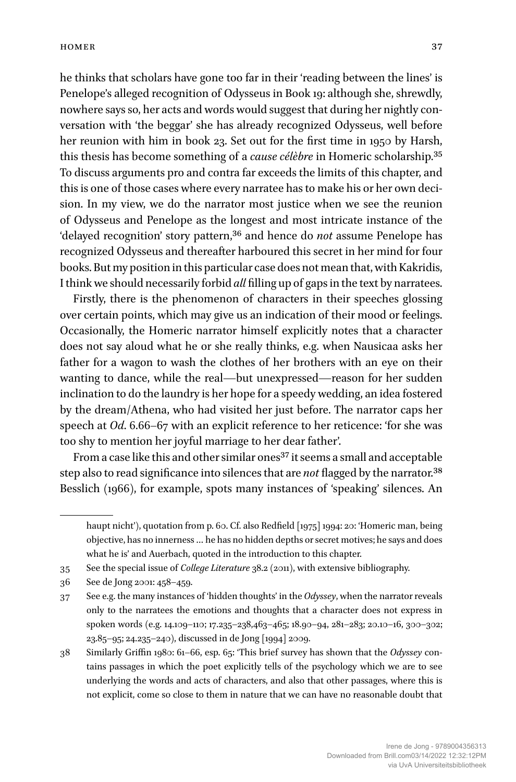he thinks that scholars have gone too far in their 'reading between the lines' is Penelope's alleged recognition of Odysseus in Book 19: although she, shrewdly, nowhere says so, her acts and words would suggest that during her nightly conversation with 'the beggar' she has already recognized Odysseus, well before her reunion with him in book 23. Set out for the first time in 1950 by Harsh, this thesis has become something of a *cause célèbre* in Homeric scholarship.35 To discuss arguments pro and contra far exceeds the limits of this chapter, and this is one of those cases where every narratee has to make his or her own decision. In my view, we do the narrator most justice when we see the reunion of Odysseus and Penelope as the longest and most intricate instance of the 'delayed recognition' story pattern,36 and hence do *not* assume Penelope has recognized Odysseus and thereafter harboured this secret in her mind for four books. But my position in this particular case does not mean that, with Kakridis, I think we should necessarily forbid *all* filling up of gaps in the text by narratees.

Firstly, there is the phenomenon of characters in their speeches glossing over certain points, which may give us an indication of their mood or feelings. Occasionally, the Homeric narrator himself explicitly notes that a character does not say aloud what he or she really thinks, e.g. when Nausicaa asks her father for a wagon to wash the clothes of her brothers with an eye on their wanting to dance, while the real—but unexpressed—reason for her sudden inclination to do the laundry is her hope for a speedy wedding, an idea fostered by the dream/Athena, who had visited her just before. The narrator caps her speech at *Od*. 6.66–67 with an explicit reference to her reticence: 'for she was too shy to mention her joyful marriage to her dear father'.

From a case like this and other similar ones<sup>37</sup> it seems a small and acceptable step also to read significance into silences that are *not* flagged by the narrator.38 Besslich (1966), for example, spots many instances of 'speaking' silences. An

35 See the special issue of *College Literature* 38.2 (2011), with extensive bibliography.

haupt nicht'), quotation from p. 60. Cf. also Redfield [1975] 1994: 20: 'Homeric man, being objective, has no innerness … he has no hidden depths or secret motives; he says and does what he is' and Auerbach, quoted in the introduction to this chapter.

<sup>36</sup> See de Jong 2001: 458–459.

<sup>37</sup> See e.g. the many instances of 'hidden thoughts' in the *Odyssey*, when the narrator reveals only to the narratees the emotions and thoughts that a character does not express in spoken words (e.g. 14.109–110; 17.235–238,463–465; 18.90–94, 281–283; 20.10–16, 300–302; 23.85–95; 24.235–240), discussed in de Jong [1994] 2009.

<sup>38</sup> Similarly Griffin 1980: 61–66, esp. 65: 'This brief survey has shown that the *Odyssey* contains passages in which the poet explicitly tells of the psychology which we are to see underlying the words and acts of characters, and also that other passages, where this is not explicit, come so close to them in nature that we can have no reasonable doubt that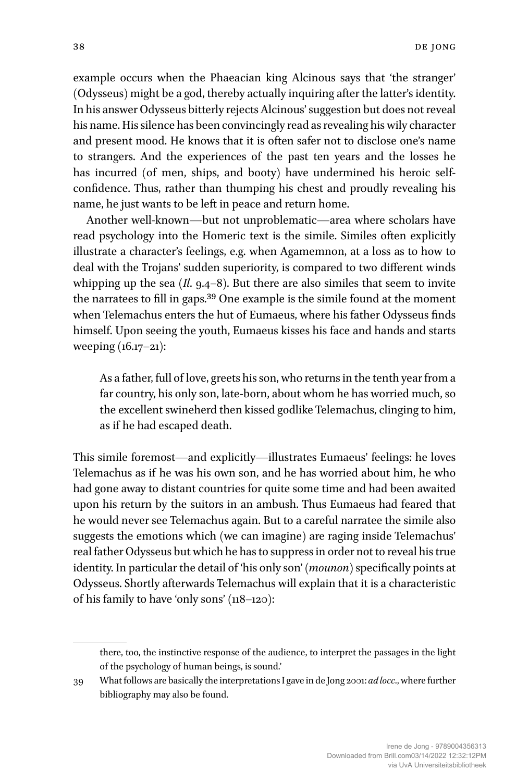example occurs when the Phaeacian king Alcinous says that 'the stranger' (Odysseus) might be a god, thereby actually inquiring after the latter's identity. In his answer Odysseus bitterly rejects Alcinous' suggestion but does not reveal his name. His silence has been convincingly read as revealing his wily character and present mood. He knows that it is often safer not to disclose one's name to strangers. And the experiences of the past ten years and the losses he has incurred (of men, ships, and booty) have undermined his heroic selfconfidence. Thus, rather than thumping his chest and proudly revealing his name, he just wants to be left in peace and return home.

Another well-known—but not unproblematic—area where scholars have read psychology into the Homeric text is the simile. Similes often explicitly illustrate a character's feelings, e.g. when Agamemnon, at a loss as to how to deal with the Trojans' sudden superiority, is compared to two different winds whipping up the sea (*Il*. 9.4–8). But there are also similes that seem to invite the narratees to fill in gaps.39 One example is the simile found at the moment when Telemachus enters the hut of Eumaeus, where his father Odysseus finds himself. Upon seeing the youth, Eumaeus kisses his face and hands and starts weeping (16.17–21):

As a father, full of love, greets his son, who returns in the tenth year from a far country, his only son, late-born, about whom he has worried much, so the excellent swineherd then kissed godlike Telemachus, clinging to him, as if he had escaped death.

This simile foremost—and explicitly—illustrates Eumaeus' feelings: he loves Telemachus as if he was his own son, and he has worried about him, he who had gone away to distant countries for quite some time and had been awaited upon his return by the suitors in an ambush. Thus Eumaeus had feared that he would never see Telemachus again. But to a careful narratee the simile also suggests the emotions which (we can imagine) are raging inside Telemachus' real father Odysseus but which he has to suppress in order not to reveal his true identity. In particular the detail of 'his only son' (*mounon*) specifically points at Odysseus. Shortly afterwards Telemachus will explain that it is a characteristic of his family to have 'only sons' (118–120):

there, too, the instinctive response of the audience, to interpret the passages in the light of the psychology of human beings, is sound.'

<sup>39</sup> What follows are basically the interpretationsI gave in de Jong 2001: *ad locc*., where further bibliography may also be found.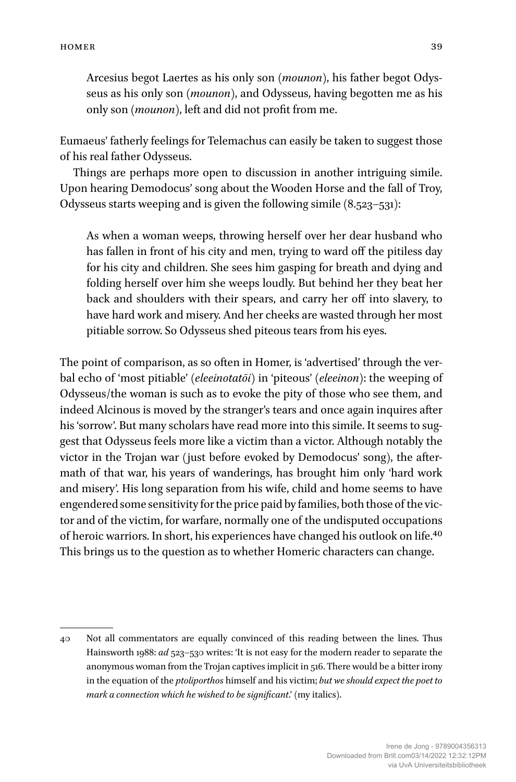Arcesius begot Laertes as his only son (*mounon*), his father begot Odysseus as his only son (*mounon*), and Odysseus, having begotten me as his only son (*mounon*), left and did not profit from me.

Eumaeus' fatherly feelings for Telemachus can easily be taken to suggest those of his real father Odysseus.

Things are perhaps more open to discussion in another intriguing simile. Upon hearing Demodocus' song about the Wooden Horse and the fall of Troy, Odysseus starts weeping and is given the following simile (8.523–531):

As when a woman weeps, throwing herself over her dear husband who has fallen in front of his city and men, trying to ward off the pitiless day for his city and children. She sees him gasping for breath and dying and folding herself over him she weeps loudly. But behind her they beat her back and shoulders with their spears, and carry her off into slavery, to have hard work and misery. And her cheeks are wasted through her most pitiable sorrow. So Odysseus shed piteous tears from his eyes.

The point of comparison, as so often in Homer, is 'advertised' through the verbal echo of 'most pitiable' (*eleeinotatōi*) in 'piteous' (*eleeinon*): the weeping of Odysseus/the woman is such as to evoke the pity of those who see them, and indeed Alcinous is moved by the stranger's tears and once again inquires after his 'sorrow'. But many scholars have read more into this simile. It seems to suggest that Odysseus feels more like a victim than a victor. Although notably the victor in the Trojan war (just before evoked by Demodocus' song), the aftermath of that war, his years of wanderings, has brought him only 'hard work and misery'. His long separation from his wife, child and home seems to have engendered some sensitivity for the price paid by families, both those of the victor and of the victim, for warfare, normally one of the undisputed occupations of heroic warriors. In short, his experiences have changed his outlook on life.40 This brings us to the question as to whether Homeric characters can change.

<sup>40</sup> Not all commentators are equally convinced of this reading between the lines. Thus Hainsworth 1988: *ad* 523–530 writes: 'It is not easy for the modern reader to separate the anonymous woman from the Trojan captives implicit in 516. There would be a bitter irony in the equation of the *ptoliporthos* himself and his victim; *but we should expect the poet to mark a connection which he wished to be significant*.' (my italics).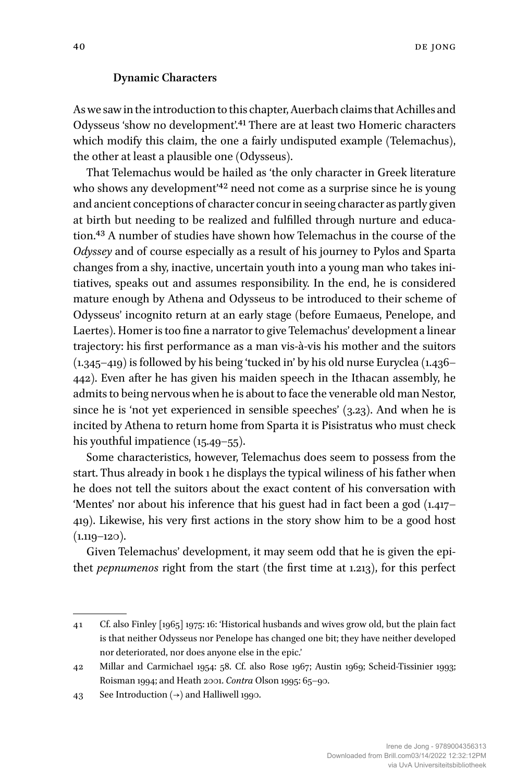#### **Dynamic Characters**

Aswe saw in the introduction to this chapter, Auerbach claims that Achilles and Odysseus 'show no development'.<sup>41</sup> There are at least two Homeric characters which modify this claim, the one a fairly undisputed example (Telemachus), the other at least a plausible one (Odysseus).

That Telemachus would be hailed as 'the only character in Greek literature who shows any development'<sup>42</sup> need not come as a surprise since he is young and ancient conceptions of character concur in seeing character as partly given at birth but needing to be realized and fulfilled through nurture and education.43 A number of studies have shown how Telemachus in the course of the *Odyssey* and of course especially as a result of his journey to Pylos and Sparta changes from a shy, inactive, uncertain youth into a young man who takes initiatives, speaks out and assumes responsibility. In the end, he is considered mature enough by Athena and Odysseus to be introduced to their scheme of Odysseus' incognito return at an early stage (before Eumaeus, Penelope, and Laertes). Homer is too fine a narrator to give Telemachus' development a linear trajectory: his first performance as a man vis-à-vis his mother and the suitors (1.345–419) is followed by his being 'tucked in' by his old nurse Euryclea (1.436– 442). Even after he has given his maiden speech in the Ithacan assembly, he admits to being nervous when he is about to face the venerable old man Nestor, since he is 'not yet experienced in sensible speeches' (3.23). And when he is incited by Athena to return home from Sparta it is Pisistratus who must check his youthful impatience (15.49–55).

Some characteristics, however, Telemachus does seem to possess from the start. Thus already in book 1 he displays the typical wiliness of his father when he does not tell the suitors about the exact content of his conversation with 'Mentes' nor about his inference that his guest had in fact been a god (1.417– 419). Likewise, his very first actions in the story show him to be a good host  $(1.119-120)$ .

Given Telemachus' development, it may seem odd that he is given the epithet *pepnumenos* right from the start (the first time at 1.213), for this perfect

<sup>41</sup> Cf. also Finley [1965] 1975: 16: 'Historical husbands and wives grow old, but the plain fact is that neither Odysseus nor Penelope has changed one bit; they have neither developed nor deteriorated, nor does anyone else in the epic.'

<sup>42</sup> Millar and Carmichael 1954: 58. Cf. also Rose 1967; Austin 1969; Scheid-Tissinier 1993; Roisman 1994; and Heath 2001. *Contra* Olson 1995: 65–90.

<sup>43</sup> See Introduction  $(→)$  and Halliwell 1990.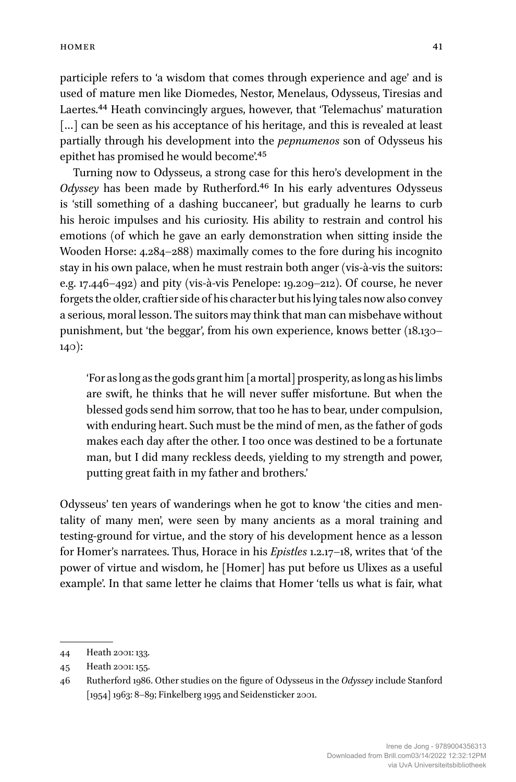participle refers to 'a wisdom that comes through experience and age' and is used of mature men like Diomedes, Nestor, Menelaus, Odysseus, Tiresias and Laertes.44 Heath convincingly argues, however, that 'Telemachus' maturation [...] can be seen as his acceptance of his heritage, and this is revealed at least partially through his development into the *pepnumenos* son of Odysseus his epithet has promised he would become'.45

Turning now to Odysseus, a strong case for this hero's development in the *Odyssey* has been made by Rutherford.46 In his early adventures Odysseus is 'still something of a dashing buccaneer', but gradually he learns to curb his heroic impulses and his curiosity. His ability to restrain and control his emotions (of which he gave an early demonstration when sitting inside the Wooden Horse: 4.284–288) maximally comes to the fore during his incognito stay in his own palace, when he must restrain both anger (vis-à-vis the suitors: e.g. 17.446–492) and pity (vis-à-vis Penelope: 19.209–212). Of course, he never forgets the older, craftier side of his character but his lying tales now also convey a serious, moral lesson. The suitors may think that man can misbehave without punishment, but 'the beggar', from his own experience, knows better (18.130– 140):

'For as long as the gods grant him [a mortal] prosperity, as long as his limbs are swift, he thinks that he will never suffer misfortune. But when the blessed gods send him sorrow, that too he has to bear, under compulsion, with enduring heart. Such must be the mind of men, as the father of gods makes each day after the other. I too once was destined to be a fortunate man, but I did many reckless deeds, yielding to my strength and power, putting great faith in my father and brothers.'

Odysseus' ten years of wanderings when he got to know 'the cities and mentality of many men', were seen by many ancients as a moral training and testing-ground for virtue, and the story of his development hence as a lesson for Homer's narratees. Thus, Horace in his *Epistles* 1.2.17–18, writes that 'of the power of virtue and wisdom, he [Homer] has put before us Ulixes as a useful example'. In that same letter he claims that Homer 'tells us what is fair, what

<sup>44</sup> Heath 2001: 133.

<sup>45</sup> Heath 2001: 155.

<sup>46</sup> Rutherford 1986. Other studies on the figure of Odysseus in the *Odyssey* include Stanford [1954] 1963: 8–89; Finkelberg 1995 and Seidensticker 2001.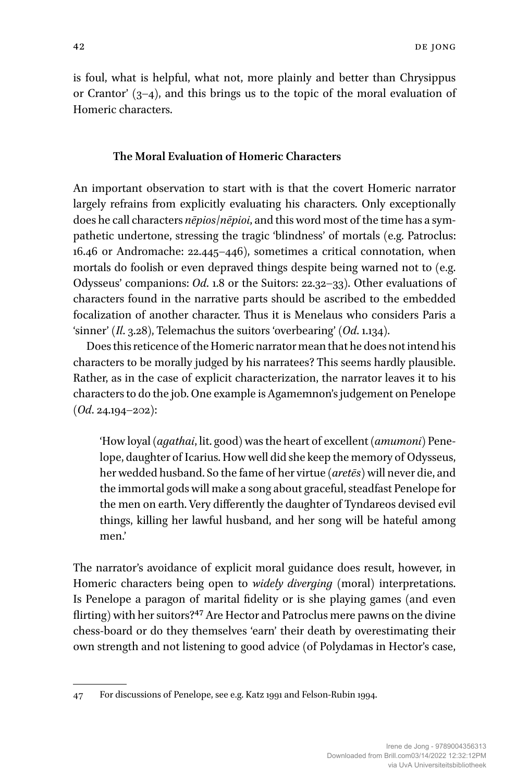is foul, what is helpful, what not, more plainly and better than Chrysippus or Crantor'  $(3-4)$ , and this brings us to the topic of the moral evaluation of Homeric characters.

#### **The Moral Evaluation of Homeric Characters**

An important observation to start with is that the covert Homeric narrator largely refrains from explicitly evaluating his characters. Only exceptionally does he call characters *nēpios*/*nēpioi*, and this word most of the time has a sympathetic undertone, stressing the tragic 'blindness' of mortals (e.g. Patroclus: 16.46 or Andromache: 22.445–446), sometimes a critical connotation, when mortals do foolish or even depraved things despite being warned not to (e.g. Odysseus' companions: *Od*. 1.8 or the Suitors: 22.32–33). Other evaluations of characters found in the narrative parts should be ascribed to the embedded focalization of another character. Thus it is Menelaus who considers Paris a 'sinner' (*Il*. 3.28), Telemachus the suitors 'overbearing' (*Od*. 1.134).

Does this reticence of the Homeric narrator mean that he does not intend his characters to be morally judged by his narratees? This seems hardly plausible. Rather, as in the case of explicit characterization, the narrator leaves it to his characters to do the job. One example is Agamemnon's judgement on Penelope (*Od*. 24.194–202):

'How loyal (*agathai*, lit. good) was the heart of excellent (*amumoni*) Penelope, daughter of Icarius. How well did she keep the memory of Odysseus, her wedded husband. So the fame of her virtue (*aretēs*) will never die, and the immortal gods will make a song about graceful, steadfast Penelope for the men on earth. Very differently the daughter of Tyndareos devised evil things, killing her lawful husband, and her song will be hateful among men.'

The narrator's avoidance of explicit moral guidance does result, however, in Homeric characters being open to *widely diverging* (moral) interpretations. Is Penelope a paragon of marital fidelity or is she playing games (and even flirting) with her suitors?<sup>47</sup> Are Hector and Patroclus mere pawns on the divine chess-board or do they themselves 'earn' their death by overestimating their own strength and not listening to good advice (of Polydamas in Hector's case,

<sup>47</sup> For discussions of Penelope, see e.g. Katz 1991 and Felson-Rubin 1994.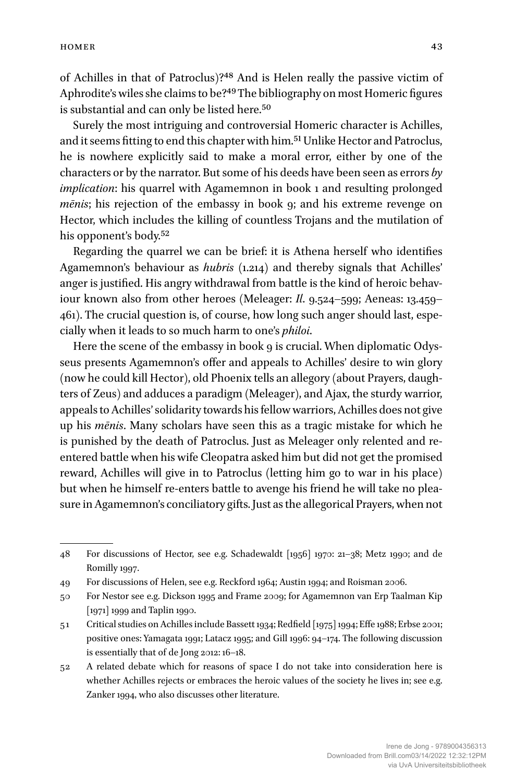of Achilles in that of Patroclus)?48 And is Helen really the passive victim of Aphrodite's wiles she claims to be?<sup>49</sup> The bibliography on most Homeric figures is substantial and can only be listed here.<sup>50</sup>

Surely the most intriguing and controversial Homeric character is Achilles, and it seems fitting to end this chapter with him.51 Unlike Hector and Patroclus, he is nowhere explicitly said to make a moral error, either by one of the characters or by the narrator. But some of his deeds have been seen as errors *by implication*: his quarrel with Agamemnon in book 1 and resulting prolonged *mēnis*; his rejection of the embassy in book 9; and his extreme revenge on Hector, which includes the killing of countless Trojans and the mutilation of his opponent's body.52

Regarding the quarrel we can be brief: it is Athena herself who identifies Agamemnon's behaviour as *hubris* (1.214) and thereby signals that Achilles' anger is justified. His angry withdrawal from battle is the kind of heroic behaviour known also from other heroes (Meleager: *Il*. 9.524–599; Aeneas: 13.459– 461). The crucial question is, of course, how long such anger should last, especially when it leads to so much harm to one's *philoi*.

Here the scene of the embassy in book 9 is crucial. When diplomatic Odysseus presents Agamemnon's offer and appeals to Achilles' desire to win glory (now he could kill Hector), old Phoenix tells an allegory (about Prayers, daughters of Zeus) and adduces a paradigm (Meleager), and Ajax, the sturdy warrior, appeals to Achilles' solidarity towards his fellow warriors, Achilles does not give up his *mēnis*. Many scholars have seen this as a tragic mistake for which he is punished by the death of Patroclus. Just as Meleager only relented and reentered battle when his wife Cleopatra asked him but did not get the promised reward, Achilles will give in to Patroclus (letting him go to war in his place) but when he himself re-enters battle to avenge his friend he will take no pleasure in Agamemnon's conciliatory gifts. Just as the allegorical Prayers, when not

<sup>48</sup> For discussions of Hector, see e.g. Schadewaldt [1956] 1970: 21–38; Metz 1990; and de Romilly 1997.

<sup>49</sup> For discussions of Helen, see e.g. Reckford 1964; Austin 1994; and Roisman 2006.

<sup>50</sup> For Nestor see e.g. Dickson 1995 and Frame 2009; for Agamemnon van Erp Taalman Kip [1971] 1999 and Taplin 1990.

<sup>51</sup> Critical studies on Achilles include Bassett 1934; Redfield [1975] 1994; Effe 1988; Erbse 2001; positive ones: Yamagata 1991; Latacz 1995; and Gill 1996: 94–174. The following discussion is essentially that of de Jong 2012: 16–18.

<sup>52</sup> A related debate which for reasons of space I do not take into consideration here is whether Achilles rejects or embraces the heroic values of the society he lives in; see e.g. Zanker 1994, who also discusses other literature.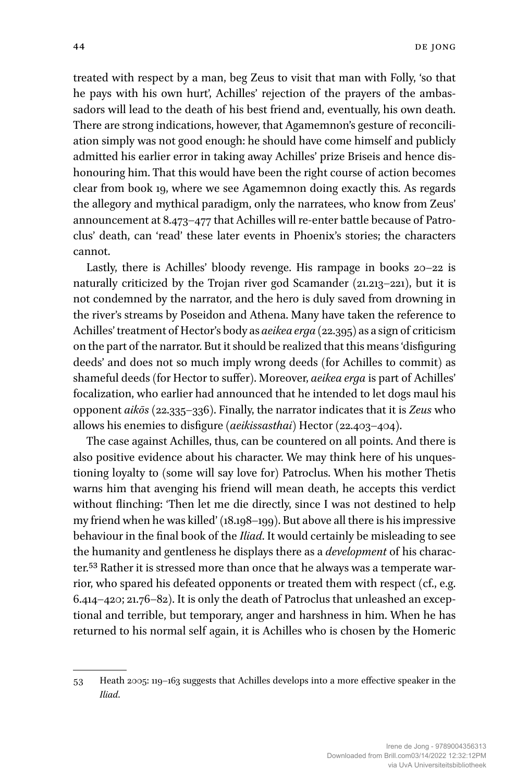treated with respect by a man, beg Zeus to visit that man with Folly, 'so that he pays with his own hurt', Achilles' rejection of the prayers of the ambassadors will lead to the death of his best friend and, eventually, his own death. There are strong indications, however, that Agamemnon's gesture of reconciliation simply was not good enough: he should have come himself and publicly admitted his earlier error in taking away Achilles' prize Briseis and hence dishonouring him. That this would have been the right course of action becomes clear from book 19, where we see Agamemnon doing exactly this. As regards the allegory and mythical paradigm, only the narratees, who know from Zeus' announcement at 8.473–477 that Achilles will re-enter battle because of Patroclus' death, can 'read' these later events in Phoenix's stories; the characters cannot.

Lastly, there is Achilles' bloody revenge. His rampage in books 20–22 is naturally criticized by the Trojan river god Scamander (21.213–221), but it is not condemned by the narrator, and the hero is duly saved from drowning in the river's streams by Poseidon and Athena. Many have taken the reference to Achilles' treatment of Hector's body as *aeikea erga* (22.395) as a sign of criticism on the part of the narrator. But it should be realized that this means 'disfiguring deeds' and does not so much imply wrong deeds (for Achilles to commit) as shameful deeds (for Hector to suffer). Moreover, *aeikea erga* is part of Achilles' focalization, who earlier had announced that he intended to let dogs maul his opponent *aikōs* (22.335–336). Finally, the narrator indicates that it is *Zeus* who allows his enemies to disfigure (*aeikissasthai*) Hector (22.403–404).

The case against Achilles, thus, can be countered on all points. And there is also positive evidence about his character. We may think here of his unquestioning loyalty to (some will say love for) Patroclus. When his mother Thetis warns him that avenging his friend will mean death, he accepts this verdict without flinching: 'Then let me die directly, since I was not destined to help my friend when he was killed' (18.198–199). But above all there is his impressive behaviour in the final book of the *Iliad*. It would certainly be misleading to see the humanity and gentleness he displays there as a *development* of his character.<sup>53</sup> Rather it is stressed more than once that he always was a temperate warrior, who spared his defeated opponents or treated them with respect (cf., e.g. 6.414–420; 21.76–82). It is only the death of Patroclus that unleashed an exceptional and terrible, but temporary, anger and harshness in him. When he has returned to his normal self again, it is Achilles who is chosen by the Homeric

<sup>53</sup> Heath 2005: 119–163 suggests that Achilles develops into a more effective speaker in the *Iliad*.